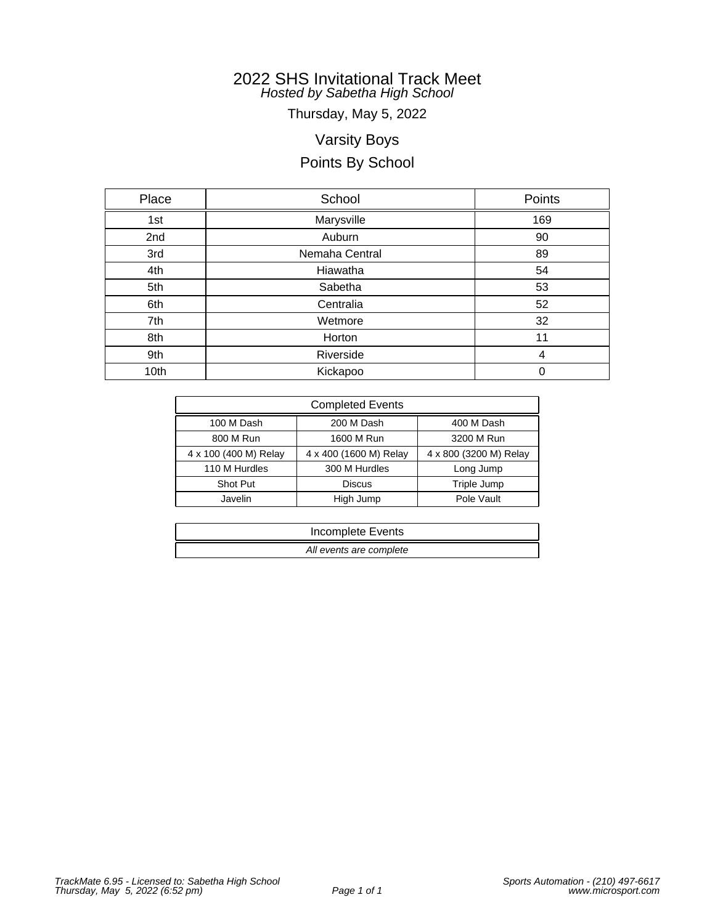Thursday, May 5, 2022

# Varsity Boys

# Points By School

| Place | School         | Points |
|-------|----------------|--------|
| 1st   | Marysville     | 169    |
| 2nd   | Auburn         | 90     |
| 3rd   | Nemaha Central | 89     |
| 4th   | Hiawatha       | 54     |
| 5th   | Sabetha        | 53     |
| 6th   | Centralia      | 52     |
| 7th   | Wetmore        | 32     |
| 8th   | Horton         | 11     |
| 9th   | Riverside      | 4      |
| 10th  | Kickapoo       | 0      |

| <b>Completed Events</b> |                        |                        |  |  |  |  |
|-------------------------|------------------------|------------------------|--|--|--|--|
| 100 M Dash              | 200 M Dash             | 400 M Dash             |  |  |  |  |
| 800 M Run               | 1600 M Run             | 3200 M Run             |  |  |  |  |
| 4 x 100 (400 M) Relay   | 4 x 400 (1600 M) Relay | 4 x 800 (3200 M) Relay |  |  |  |  |
| 110 M Hurdles           | 300 M Hurdles          | Long Jump              |  |  |  |  |
| Shot Put                | <b>Discus</b>          | Triple Jump            |  |  |  |  |
| Javelin                 | High Jump              | Pole Vault             |  |  |  |  |

| Incomplete Events       |  |
|-------------------------|--|
| All events are complete |  |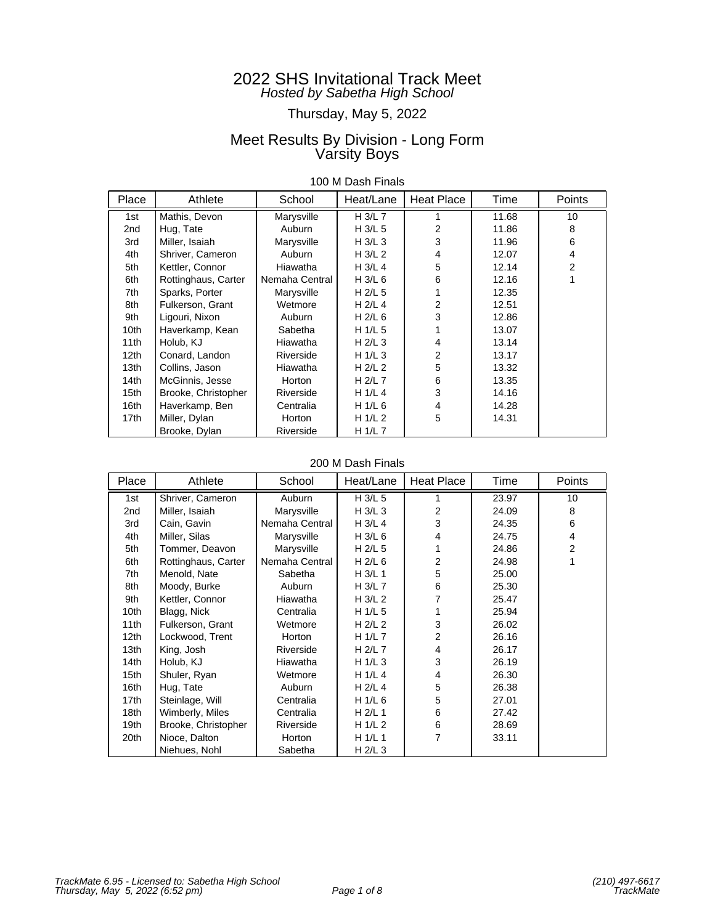# Thursday, May 5, 2022

## Meet Results By Division - Long Form Varsity Boys

| 100 M Dash Finals |  |
|-------------------|--|
|-------------------|--|

| Place            | Athlete             | School         | Heat/Lane | <b>Heat Place</b> | Time  | Points         |
|------------------|---------------------|----------------|-----------|-------------------|-------|----------------|
| 1st              | Mathis, Devon       | Marysville     | $H$ 3/L 7 |                   | 11.68 | 10             |
| 2nd              | Hug, Tate           | Auburn         | H 3/L 5   | $\overline{2}$    | 11.86 | 8              |
| 3rd              | Miller, Isaiah      | Marysville     | H $3/L$ 3 | 3                 | 11.96 | 6              |
| 4th              | Shriver, Cameron    | Auburn         | H 3/L 2   | 4                 | 12.07 | 4              |
| 5th              | Kettler, Connor     | Hiawatha       | H $3/L$ 4 | 5                 | 12.14 | $\overline{2}$ |
| 6th              | Rottinghaus, Carter | Nemaha Central | H $3/L$ 6 | 6                 | 12.16 | 1              |
| 7th              | Sparks, Porter      | Marysville     | H $2/L$ 5 |                   | 12.35 |                |
| 8th              | Fulkerson, Grant    | Wetmore        | H $2/L$ 4 | $\overline{2}$    | 12.51 |                |
| 9th              | Ligouri, Nixon      | Auburn         | H 2/L 6   | 3                 | 12.86 |                |
| 10th             | Haverkamp, Kean     | Sabetha        | H 1/L 5   |                   | 13.07 |                |
| 11th             | Holub, KJ           | Hiawatha       | H $2/L$ 3 | 4                 | 13.14 |                |
| 12 <sub>th</sub> | Conard, Landon      | Riverside      | H $1/L$ 3 | 2                 | 13.17 |                |
| 13 <sub>th</sub> | Collins, Jason      | Hiawatha       | H 2/L 2   | 5                 | 13.32 |                |
| 14th             | McGinnis, Jesse     | Horton         | H 2/L 7   | 6                 | 13.35 |                |
| 15th             | Brooke, Christopher | Riverside      | H 1/L 4   | 3                 | 14.16 |                |
| 16th             | Haverkamp, Ben      | Centralia      | H 1/L 6   | 4                 | 14.28 |                |
| 17th             | Miller, Dylan       | Horton         | H $1/L2$  | 5                 | 14.31 |                |
|                  | Brooke, Dylan       | Riverside      | H $1/L$ 7 |                   |       |                |

### 200 M Dash Finals

| Place            | Athlete             | School         | Heat/Lane | Heat Place     | Time  | Points         |
|------------------|---------------------|----------------|-----------|----------------|-------|----------------|
| 1st              | Shriver, Cameron    | Auburn         | H 3/L 5   |                | 23.97 | 10             |
| 2nd              | Miller, Isaiah      | Marysville     | H 3/L 3   | 2              | 24.09 | 8              |
| 3rd              | Cain, Gavin         | Nemaha Central | H $3/L$ 4 | 3              | 24.35 | 6              |
| 4th              | Miller, Silas       | Marysville     | H 3/L 6   | 4              | 24.75 | 4              |
| 5th              | Tommer, Deavon      | Marysville     | $H$ 2/L 5 |                | 24.86 | $\overline{2}$ |
| 6th              | Rottinghaus, Carter | Nemaha Central | H $2/L$ 6 | 2              | 24.98 | 1              |
| 7th              | Menold, Nate        | Sabetha        | H 3/L 1   | 5              | 25.00 |                |
| 8th              | Moody, Burke        | Auburn         | H 3/L 7   | 6              | 25.30 |                |
| 9th              | Kettler, Connor     | Hiawatha       | H 3/L 2   | 7              | 25.47 |                |
| 10th             | Blagg, Nick         | Centralia      | H 1/L 5   |                | 25.94 |                |
| 11th             | Fulkerson, Grant    | Wetmore        | H $2/L$ 2 | 3              | 26.02 |                |
| 12 <sub>th</sub> | Lockwood, Trent     | Horton         | H 1/L 7   | 2              | 26.16 |                |
| 13th             | King, Josh          | Riverside      | H 2/L 7   | 4              | 26.17 |                |
| 14th             | Holub, KJ           | Hiawatha       | H $1/L$ 3 | 3              | 26.19 |                |
| 15th             | Shuler, Ryan        | Wetmore        | H 1/L 4   | 4              | 26.30 |                |
| 16th             | Hug, Tate           | Auburn         | H 2/L 4   | 5              | 26.38 |                |
| 17th             | Steinlage, Will     | Centralia      | H 1/L 6   | 5              | 27.01 |                |
| 18 <sub>th</sub> | Wimberly, Miles     | Centralia      | H $2/L$ 1 | 6              | 27.42 |                |
| 19th             | Brooke, Christopher | Riverside      | H 1/L 2   | 6              | 28.69 |                |
| 20th             | Nioce, Dalton       | Horton         | H $1/L$ 1 | $\overline{7}$ | 33.11 |                |
|                  | Niehues, Nohl       | Sabetha        | H $2/L$ 3 |                |       |                |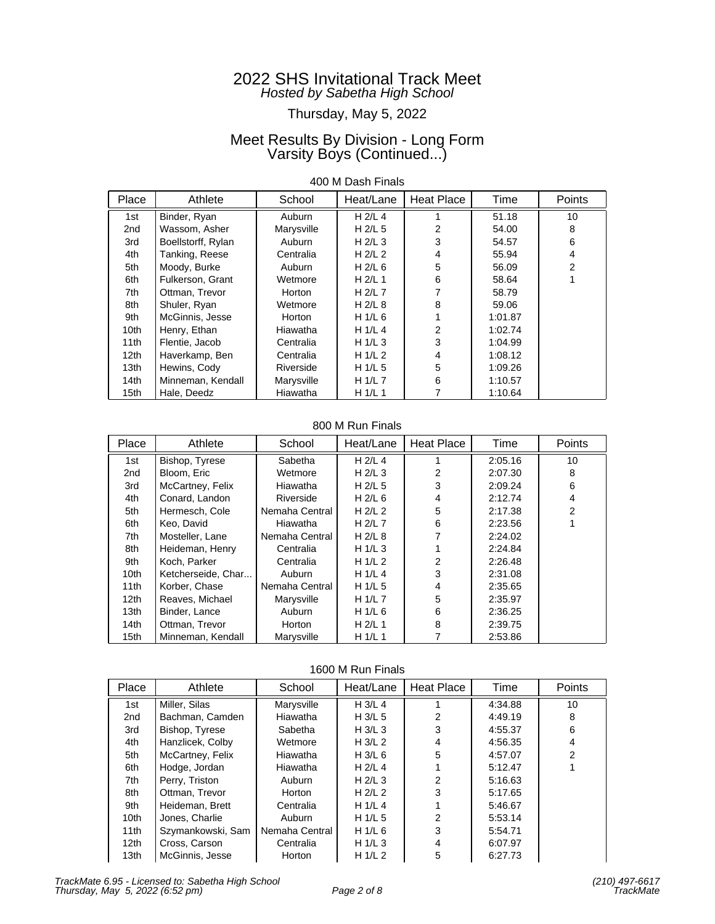## Thursday, May 5, 2022

## Meet Results By Division - Long Form Varsity Boys (Continued...)

### 400 M Dash Finals

| Place            | Athlete            | School     | Heat/Lane | <b>Heat Place</b> | Time    | Points         |
|------------------|--------------------|------------|-----------|-------------------|---------|----------------|
| 1st              | Binder, Ryan       | Auburn     | $H$ 2/L 4 |                   | 51.18   | 10             |
| 2nd              | Wassom, Asher      | Marysville | $H$ 2/L 5 | 2                 | 54.00   | 8              |
| 3rd              | Boellstorff, Rylan | Auburn     | H $2/L$ 3 | 3                 | 54.57   | 6              |
| 4th              | Tanking, Reese     | Centralia  | H $2/L$ 2 | 4                 | 55.94   | 4              |
| 5th              | Moody, Burke       | Auburn     | H $2/L$ 6 | 5                 | 56.09   | $\overline{2}$ |
| 6th              | Fulkerson, Grant   | Wetmore    | H $2/L$ 1 | 6                 | 58.64   |                |
| 7th              | Ottman, Trevor     | Horton     | H $2/L$ 7 |                   | 58.79   |                |
| 8th              | Shuler, Ryan       | Wetmore    | $H$ 2/L 8 | 8                 | 59.06   |                |
| 9th              | McGinnis, Jesse    | Horton     | H $1/L$ 6 |                   | 1:01.87 |                |
| 10th             | Henry, Ethan       | Hiawatha   | H $1/L$ 4 | 2                 | 1:02.74 |                |
| 11th             | Flentie, Jacob     | Centralia  | H $1/L$ 3 | 3                 | 1:04.99 |                |
| 12 <sub>th</sub> | Haverkamp, Ben     | Centralia  | H $1/L2$  | 4                 | 1:08.12 |                |
| 13 <sub>th</sub> | Hewins, Cody       | Riverside  | H $1/L$ 5 | 5                 | 1:09.26 |                |
| 14th             | Minneman, Kendall  | Marysville | H $1/L$ 7 | 6                 | 1:10.57 |                |
| 15th             | Hale, Deedz        | Hiawatha   | H1/L1     |                   | 1:10.64 |                |

#### 800 M Run Finals

| Place            | Athlete            | School         | Heat/Lane | <b>Heat Place</b> | Time    | Points |
|------------------|--------------------|----------------|-----------|-------------------|---------|--------|
| 1st              | Bishop, Tyrese     | Sabetha        | $H$ 2/L 4 |                   | 2:05.16 | 10     |
| 2nd              | Bloom, Eric        | Wetmore        | $H$ 2/L 3 | 2                 | 2:07.30 | 8      |
| 3rd              | McCartney, Felix   | Hiawatha       | H $2/L$ 5 | 3                 | 2:09.24 | 6      |
| 4th              | Conard, Landon     | Riverside      | H $2/L$ 6 | 4                 | 2:12.74 | 4      |
| 5th              | Hermesch, Cole     | Nemaha Central | H $2/L$ 2 | 5                 | 2:17.38 | 2      |
| 6th              | Keo. David         | Hiawatha       | H $2/L$ 7 | 6                 | 2:23.56 |        |
| 7th              | Mosteller, Lane    | Nemaha Central | H $2/L$ 8 |                   | 2:24.02 |        |
| 8th              | Heideman, Henry    | Centralia      | H $1/L$ 3 |                   | 2:24.84 |        |
| 9th              | Koch, Parker       | Centralia      | H $1/L2$  | 2                 | 2:26.48 |        |
| 10th             | Ketcherseide, Char | Auburn         | H $1/L$ 4 | 3                 | 2:31.08 |        |
| 11th             | Korber, Chase      | Nemaha Central | $H_1/L_5$ | 4                 | 2:35.65 |        |
| 12 <sub>th</sub> | Reaves, Michael    | Marysville     | H $1/L$ 7 | 5                 | 2:35.97 |        |
| 13th             | Binder, Lance      | Auburn         | H $1/L$ 6 | 6                 | 2:36.25 |        |
| 14th             | Ottman, Trevor     | Horton         | H 2/L 1   | 8                 | 2:39.75 |        |
| 15 <sub>th</sub> | Minneman, Kendall  | Marysville     | H $1/L$ 1 |                   | 2:53.86 |        |

1600 M Run Finals

| Place            | Athlete           | School         | Heat/Lane | Heat Place | Time    | Points         |
|------------------|-------------------|----------------|-----------|------------|---------|----------------|
| 1st              | Miller, Silas     | Marysville     | H $3/L$ 4 |            | 4:34.88 | 10             |
| 2nd              | Bachman, Camden   | Hiawatha       | H $3/L$ 5 | 2          | 4:49.19 | 8              |
| 3rd              | Bishop, Tyrese    | Sabetha        | H $3/L$ 3 | 3          | 4:55.37 | 6              |
| 4th              | Hanzlicek, Colby  | Wetmore        | H $3/L2$  | 4          | 4:56.35 | 4              |
| 5th              | McCartney, Felix  | Hiawatha       | H $3/L$ 6 | 5          | 4:57.07 | $\overline{2}$ |
| 6th              | Hodge, Jordan     | Hiawatha       | H $2/L$ 4 |            | 5:12.47 |                |
| 7th              | Perry, Triston    | Auburn         | H $2/L$ 3 | 2          | 5:16.63 |                |
| 8th              | Ottman, Trevor    | Horton         | H $2/L$ 2 | 3          | 5:17.65 |                |
| 9th              | Heideman, Brett   | Centralia      | H $1/L$ 4 |            | 5:46.67 |                |
| 10 <sub>th</sub> | Jones, Charlie    | Auburn         | H $1/L$ 5 | 2          | 5:53.14 |                |
| 11th             | Szymankowski, Sam | Nemaha Central | H $1/L$ 6 | 3          | 5:54.71 |                |
| 12th             | Cross, Carson     | Centralia      | H $1/L$ 3 | 4          | 6:07.97 |                |
| 13 <sub>th</sub> | McGinnis, Jesse   | Horton         | H $1/L2$  | 5          | 6:27.73 |                |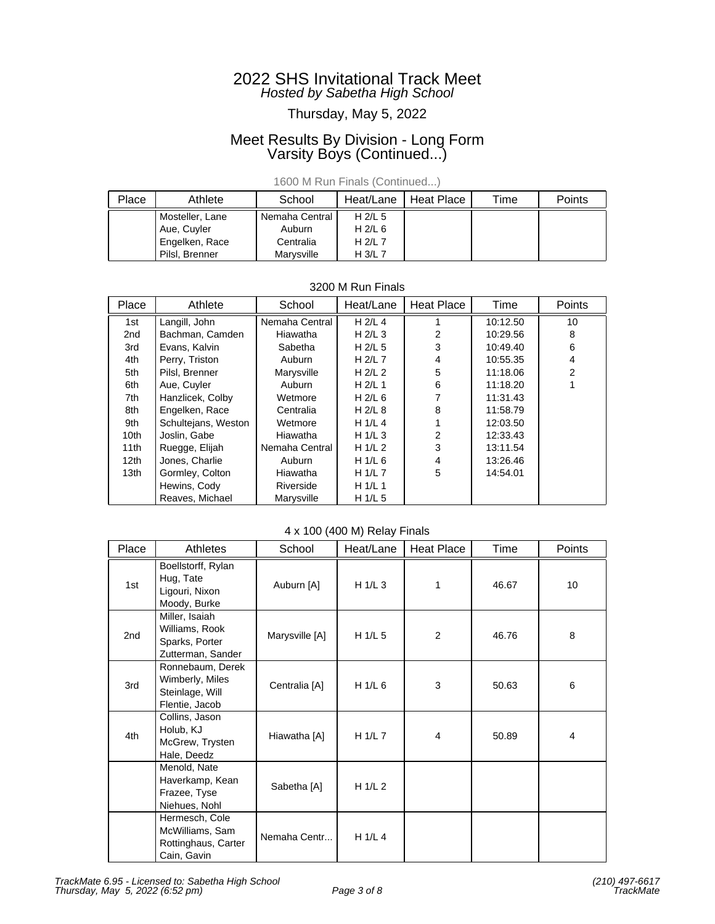## Thursday, May 5, 2022

## Meet Results By Division - Long Form Varsity Boys (Continued...)

1600 M Run Finals (Continued...)

| Place | Athlete         | School         | Heat/Lane | Heat Place | Time | Points |
|-------|-----------------|----------------|-----------|------------|------|--------|
|       | Mosteller, Lane | Nemaha Central | H $2/L$ 5 |            |      |        |
|       | Aue, Cuyler     | Auburn         | H $2/L$ 6 |            |      |        |
|       | Engelken, Race  | Centralia      | H $2/L$ 7 |            |      |        |
|       | Pilsl. Brenner  | Marvsville     | $H$ 3/L 7 |            |      |        |

| 0200 111 1911 1110 10 |                     |                |           |                   |          |                |  |
|-----------------------|---------------------|----------------|-----------|-------------------|----------|----------------|--|
| Place                 | Athlete             | School         | Heat/Lane | <b>Heat Place</b> | Time     | Points         |  |
| 1st                   | Langill, John       | Nemaha Central | $H$ 2/L 4 |                   | 10:12.50 | 10             |  |
| 2nd                   | Bachman, Camden     | Hiawatha       | H $2/L$ 3 | 2                 | 10:29.56 | 8              |  |
| 3rd                   | Evans, Kalvin       | Sabetha        | H $2/L$ 5 | 3                 | 10:49.40 | 6              |  |
| 4th                   | Perry, Triston      | Auburn         | H $2/L$ 7 | 4                 | 10:55.35 | 4              |  |
| 5th                   | Pilsl, Brenner      | Marysville     | H $2/L$ 2 | 5                 | 11:18.06 | $\overline{2}$ |  |
| 6th                   | Aue, Cuyler         | Auburn         | H $2/L$ 1 | 6                 | 11:18.20 |                |  |
| 7th                   | Hanzlicek, Colby    | Wetmore        | H $2/L$ 6 |                   | 11:31.43 |                |  |
| 8th                   | Engelken, Race      | Centralia      | H $2/L$ 8 | 8                 | 11:58.79 |                |  |
| 9th                   | Schultejans, Weston | Wetmore        | H $1/L$ 4 |                   | 12:03.50 |                |  |
| 10 <sub>th</sub>      | Joslin, Gabe        | Hiawatha       | H $1/L$ 3 | 2                 | 12:33.43 |                |  |
| 11th                  | Ruegge, Elijah      | Nemaha Central | H $1/L2$  | 3                 | 13:11.54 |                |  |
| 12 <sub>th</sub>      | Jones, Charlie      | Auburn         | H $1/L$ 6 | $\overline{4}$    | 13:26.46 |                |  |
| 13 <sub>th</sub>      | Gormley, Colton     | Hiawatha       | H $1/L$ 7 | 5                 | 14:54.01 |                |  |
|                       | Hewins, Cody        | Riverside      | H $1/L$ 1 |                   |          |                |  |
|                       | Reaves, Michael     | Marysville     | H $1/L$ 5 |                   |          |                |  |

## 3200 M Run Finals

## 4 x 100 (400 M) Relay Finals

| Place           | <b>Athletes</b>                                                          | School         | Heat/Lane | <b>Heat Place</b> | Time  | Points |
|-----------------|--------------------------------------------------------------------------|----------------|-----------|-------------------|-------|--------|
| 1st             | Boellstorff, Rylan<br>Hug, Tate<br>Ligouri, Nixon<br>Moody, Burke        | Auburn [A]     | H $1/L$ 3 | 1                 | 46.67 | 10     |
| 2 <sub>nd</sub> | Miller, Isaiah<br>Williams, Rook<br>Sparks, Porter<br>Zutterman, Sander  | Marysville [A] | H $1/L$ 5 | 2                 | 46.76 | 8      |
| 3rd             | Ronnebaum, Derek<br>Wimberly, Miles<br>Steinlage, Will<br>Flentie, Jacob | Centralia [A]  | H 1/L 6   | 3                 | 50.63 | 6      |
| 4th             | Collins, Jason<br>Holub, KJ<br>McGrew, Trysten<br>Hale, Deedz            | Hiawatha [A]   | H 1/L 7   | 4                 | 50.89 | 4      |
|                 | Menold, Nate<br>Haverkamp, Kean<br>Frazee, Tyse<br>Niehues, Nohl         | Sabetha [A]    | H 1/L 2   |                   |       |        |
|                 | Hermesch, Cole<br>McWilliams, Sam<br>Rottinghaus, Carter<br>Cain, Gavin  | Nemaha Centr   | H 1/L 4   |                   |       |        |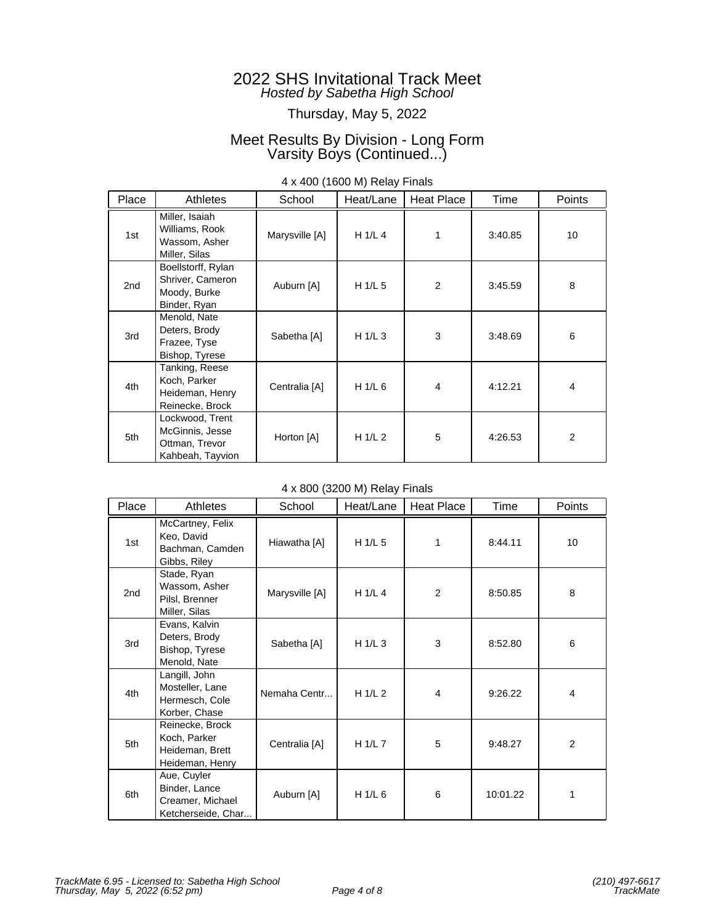## Thursday, May 5, 2022

## Meet Results By Division - Long Form Varsity Boys (Continued...)

| Place | <b>Athletes</b>                                                          | School         | Heat/Lane | Heat Place     | Time    | <b>Points</b> |
|-------|--------------------------------------------------------------------------|----------------|-----------|----------------|---------|---------------|
| 1st   | Miller, Isaiah<br>Williams, Rook<br>Wassom, Asher<br>Miller, Silas       | Marysville [A] | H 1/L 4   | 1              | 3:40.85 | 10            |
| 2nd   | Boellstorff, Rylan<br>Shriver, Cameron<br>Moody, Burke<br>Binder, Ryan   | Auburn [A]     | H $1/L$ 5 | $\overline{2}$ | 3:45.59 | 8             |
| 3rd   | Menold, Nate<br>Deters, Brody<br>Frazee, Tyse<br>Bishop, Tyrese          | Sabetha [A]    | H $1/L$ 3 | 3              | 3:48.69 | 6             |
| 4th   | Tanking, Reese<br>Koch, Parker<br>Heideman, Henry<br>Reinecke, Brock     | Centralia [A]  | H 1/L 6   | $\overline{4}$ | 4:12.21 | 4             |
| 5th   | Lockwood, Trent<br>McGinnis, Jesse<br>Ottman, Trevor<br>Kahbeah, Tayvion | Horton [A]     | H $1/L2$  | 5              | 4:26.53 | 2             |

### 4 x 400 (1600 M) Relay Finals

### 4 x 800 (3200 M) Relay Finals

| Place | Athletes                                                               | School         | Heat/Lane | Heat Place | Time     | Points         |
|-------|------------------------------------------------------------------------|----------------|-----------|------------|----------|----------------|
| 1st   | McCartney, Felix<br>Keo, David<br>Bachman, Camden<br>Gibbs, Riley      | Hiawatha [A]   | H 1/L 5   | 1          | 8:44.11  | 10             |
| 2nd   | Stade, Ryan<br>Wassom, Asher<br>Pilsl, Brenner<br>Miller, Silas        | Marysville [A] | H 1/L 4   | 2          | 8:50.85  | 8              |
| 3rd   | Evans, Kalvin<br>Deters, Brody<br>Bishop, Tyrese<br>Menold, Nate       | Sabetha [A]    | H 1/L 3   | 3          | 8:52.80  | 6              |
| 4th   | Langill, John<br>Mosteller, Lane<br>Hermesch, Cole<br>Korber, Chase    | Nemaha Centr   | H $1/L2$  | 4          | 9:26.22  | 4              |
| 5th   | Reinecke, Brock<br>Koch, Parker<br>Heideman, Brett<br>Heideman, Henry  | Centralia [A]  | H 1/L 7   | 5          | 9:48.27  | $\overline{2}$ |
| 6th   | Aue, Cuyler<br>Binder, Lance<br>Creamer, Michael<br>Ketcherseide, Char | Auburn [A]     | H 1/L 6   | 6          | 10:01.22 | 1              |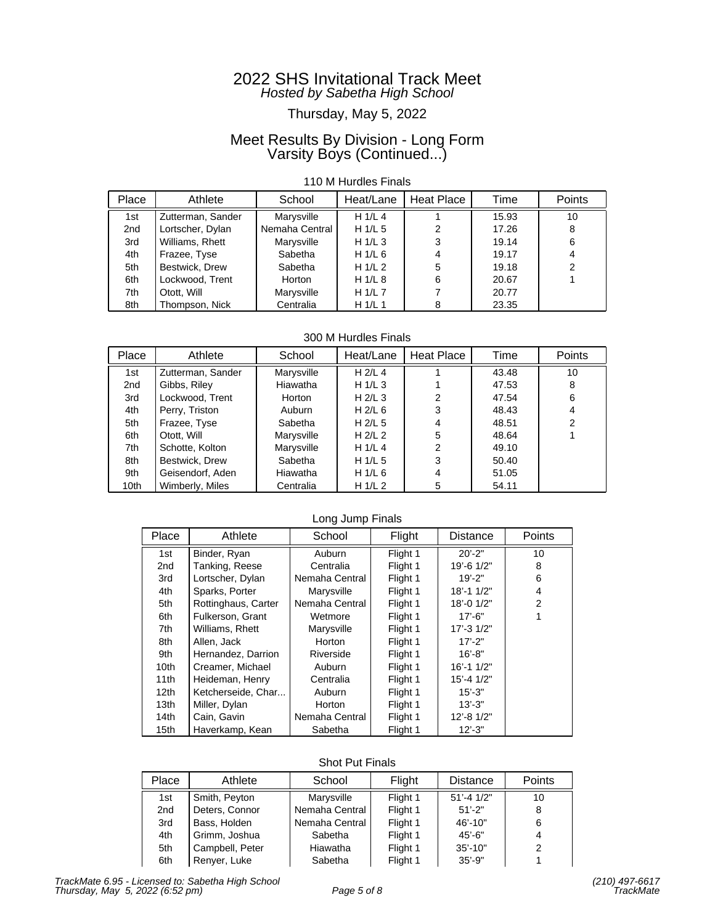## Thursday, May 5, 2022

## Meet Results By Division - Long Form Varsity Boys (Continued...)

### 110 M Hurdles Finals

| Place | Athlete           | School         | Heat/Lane | Heat Place | Time  | Points |
|-------|-------------------|----------------|-----------|------------|-------|--------|
| 1st   | Zutterman, Sander | Marysville     | H 1/L 4   |            | 15.93 | 10     |
| 2nd   | Lortscher, Dylan  | Nemaha Central | H $1/L$ 5 | 2          | 17.26 | 8      |
| 3rd   | Williams, Rhett   | Marysville     | H 1/L 3   | 3          | 19.14 | 6      |
| 4th   | Frazee, Tyse      | Sabetha        | H $1/L$ 6 | 4          | 19.17 | 4      |
| 5th   | Bestwick, Drew    | Sabetha        | H $1/L2$  | 5          | 19.18 | 2      |
| 6th   | Lockwood, Trent   | Horton         | H 1/L 8   | 6          | 20.67 |        |
| 7th   | Otott. Will       | Marysville     | H $1/L$ 7 |            | 20.77 |        |
| 8th   | Thompson, Nick    | Centralia      | H $1/L$ 1 |            | 23.35 |        |

300 M Hurdles Finals

| Place           | Athlete           | School     | Heat/Lane | Heat Place | Time  | <b>Points</b>  |
|-----------------|-------------------|------------|-----------|------------|-------|----------------|
| 1st             | Zutterman, Sander | Marysville | $H$ 2/L 4 |            | 43.48 | 10             |
| 2 <sub>nd</sub> | Gibbs, Riley      | Hiawatha   | H 1/L 3   |            | 47.53 | 8              |
| 3rd             | Lockwood, Trent   | Horton     | H $2/L$ 3 | 2          | 47.54 | 6              |
| 4th             | Perry, Triston    | Auburn     | H $2/L$ 6 | 3          | 48.43 | 4              |
| 5th             | Frazee, Tyse      | Sabetha    | H $2/L$ 5 | 4          | 48.51 | $\overline{2}$ |
| 6th             | Otott. Will       | Marysville | H $2/L$ 2 | 5          | 48.64 |                |
| 7th             | Schotte, Kolton   | Marysville | H $1/L$ 4 | 2          | 49.10 |                |
| 8th             | Bestwick, Drew    | Sabetha    | H $1/L$ 5 | 3          | 50.40 |                |
| 9th             | Geisendorf, Aden  | Hiawatha   | H $1/L$ 6 | 4          | 51.05 |                |
| 10th            | Wimberly, Miles   | Centralia  | H $1/L$ 2 | 5          | 54.11 |                |

### Long Jump Finals

| Place            | Athlete             | School         | Flight   | <b>Distance</b> | Points |
|------------------|---------------------|----------------|----------|-----------------|--------|
| 1st              | Binder, Ryan        | Auburn         | Flight 1 | $20' - 2"$      | 10     |
| 2 <sub>nd</sub>  | Tanking, Reese      | Centralia      | Flight 1 | 19'-6 1/2"      | 8      |
| 3rd              | Lortscher, Dylan    | Nemaha Central | Flight 1 | $19' - 2"$      | 6      |
| 4th              | Sparks, Porter      | Marysville     | Flight 1 | 18'-1 1/2"      | 4      |
| 5th              | Rottinghaus, Carter | Nemaha Central | Flight 1 | 18'-0 1/2"      | 2      |
| 6th              | Fulkerson, Grant    | Wetmore        | Flight 1 | $17' - 6"$      |        |
| 7th              | Williams, Rhett     | Marysville     | Flight 1 | 17'-3 1/2"      |        |
| 8th              | Allen, Jack         | Horton         | Flight 1 | $17' - 2"$      |        |
| 9th              | Hernandez, Darrion  | Riverside      | Flight 1 | $16' - 8"$      |        |
| 10 <sub>th</sub> | Creamer, Michael    | Auburn         | Flight 1 | $16' - 11/2"$   |        |
| 11th             | Heideman, Henry     | Centralia      | Flight 1 | $15' - 41/2"$   |        |
| 12 <sub>th</sub> | Ketcherseide, Char  | Auburn         | Flight 1 | $15' - 3"$      |        |
| 13 <sub>th</sub> | Miller, Dylan       | Horton         | Flight 1 | $13' - 3"$      |        |
| 14 <sub>th</sub> | Cain, Gavin         | Nemaha Central | Flight 1 | 12'-8 1/2"      |        |
| 15 <sub>th</sub> | Haverkamp, Kean     | Sabetha        | Flight 1 | $12' - 3"$      |        |

### Shot Put Finals

| Place | Athlete         | School         | Flight   | <b>Distance</b> | <b>Points</b> |
|-------|-----------------|----------------|----------|-----------------|---------------|
| 1st   | Smith, Peyton   | Marysville     | Flight 1 | $51' - 41/2"$   | 10            |
| 2nd   | Deters, Connor  | Nemaha Central | Flight 1 | $51' - 2"$      | 8             |
| 3rd   | Bass, Holden    | Nemaha Central | Flight 1 | $46' - 10"$     | 6             |
| 4th   | Grimm, Joshua   | Sabetha        | Flight 1 | $45' - 6"$      | 4             |
| 5th   | Campbell, Peter | Hiawatha       | Flight 1 | $35' - 10"$     |               |
| 6th   | Renyer, Luke    | Sabetha        | Flight 1 | $35' - 9''$     |               |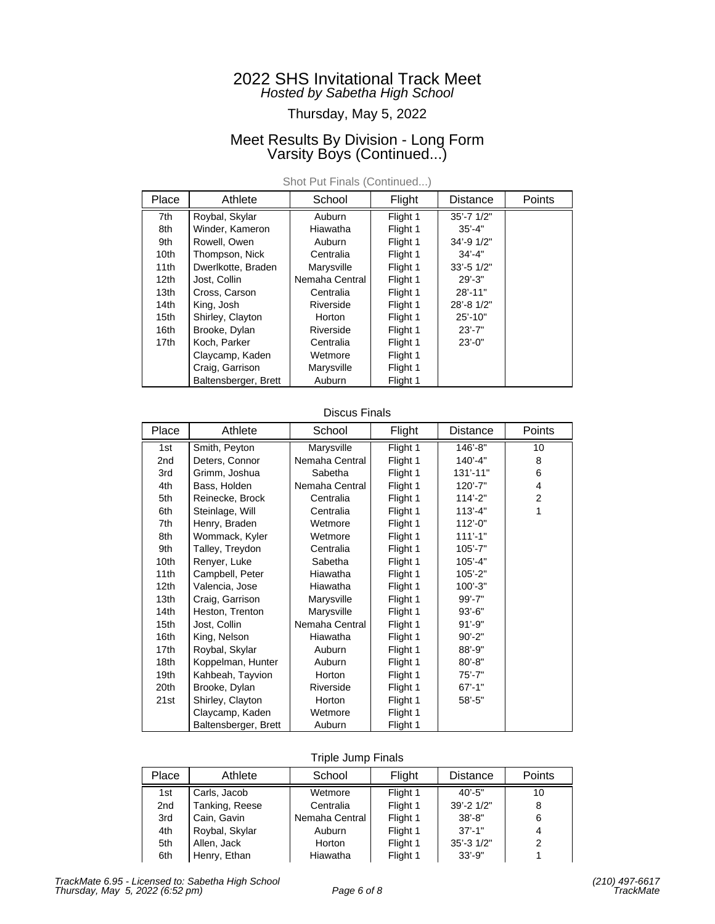## Thursday, May 5, 2022

## Meet Results By Division - Long Form Varsity Boys (Continued...)

| Place            | Athlete              | School         | Flight   | <b>Distance</b>  | Points |
|------------------|----------------------|----------------|----------|------------------|--------|
| 7th              | Roybal, Skylar       | Auburn         | Flight 1 | $35' - 7$ $1/2"$ |        |
| 8th              | Winder, Kameron      | Hiawatha       | Flight 1 | $35' - 4"$       |        |
| 9th              | Rowell, Owen         | Auburn         | Flight 1 | 34'-9 1/2"       |        |
| 10 <sub>th</sub> | Thompson, Nick       | Centralia      | Flight 1 | $34' - 4"$       |        |
| 11 <sub>th</sub> | Dwerlkotte, Braden   | Marysville     | Flight 1 | $33' - 51/2"$    |        |
| 12 <sub>th</sub> | Jost, Collin         | Nemaha Central | Flight 1 | $29' - 3"$       |        |
| 13 <sub>th</sub> | Cross, Carson        | Centralia      | Flight 1 | $28' - 11"$      |        |
| 14 <sub>th</sub> | King, Josh           | Riverside      | Flight 1 | 28'-8 1/2"       |        |
| 15th             | Shirley, Clayton     | Horton         | Flight 1 | $25' - 10"$      |        |
| 16th             | Brooke, Dylan        | Riverside      | Flight 1 | $23' - 7"$       |        |
| 17th             | Koch, Parker         | Centralia      | Flight 1 | $23' - 0$ "      |        |
|                  | Claycamp, Kaden      | Wetmore        | Flight 1 |                  |        |
|                  | Craig, Garrison      | Marysville     | Flight 1 |                  |        |
|                  | Baltensberger, Brett | Auburn         | Flight 1 |                  |        |

Shot Put Finals (Continued...)

### Discus Finals

| Place            | Athlete              | School         | Flight   | Distance      | Points         |
|------------------|----------------------|----------------|----------|---------------|----------------|
| 1st              | Smith, Peyton        | Marysville     | Flight 1 | 146'-8"       | 10             |
| 2nd              | Deters, Connor       | Nemaha Central | Flight 1 | $140' - 4"$   | 8              |
| 3rd              | Grimm, Joshua        | Sabetha        | Flight 1 | $131' - 11''$ | 6              |
| 4th              | Bass, Holden         | Nemaha Central | Flight 1 | $120' - 7"$   | 4              |
| 5th              | Reinecke, Brock      | Centralia      | Flight 1 | $114' - 2"$   | $\overline{2}$ |
| 6th              | Steinlage, Will      | Centralia      | Flight 1 | $113' - 4"$   | 1              |
| 7th              | Henry, Braden        | Wetmore        | Flight 1 | $112' - 0$ "  |                |
| 8th              | Wommack, Kyler       | Wetmore        | Flight 1 | $111' - 1"$   |                |
| 9th              | Talley, Treydon      | Centralia      | Flight 1 | $105' - 7"$   |                |
| 10th             | Renyer, Luke         | Sabetha        | Flight 1 | $105' - 4"$   |                |
| 11 <sub>th</sub> | Campbell, Peter      | Hiawatha       | Flight 1 | $105' - 2"$   |                |
| 12 <sub>th</sub> | Valencia, Jose       | Hiawatha       | Flight 1 | $100' - 3"$   |                |
| 13th             | Craig, Garrison      | Marysville     | Flight 1 | $99' - 7"$    |                |
| 14 <sub>th</sub> | Heston, Trenton      | Marysville     | Flight 1 | $93' - 6"$    |                |
| 15th             | Jost, Collin         | Nemaha Central | Flight 1 | $91' - 9"$    |                |
| 16th             | King, Nelson         | Hiawatha       | Flight 1 | $90' - 2"$    |                |
| 17th             | Roybal, Skylar       | Auburn         | Flight 1 | $88' - 9"$    |                |
| 18 <sub>th</sub> | Koppelman, Hunter    | Auburn         | Flight 1 | $80' - 8"$    |                |
| 19th             | Kahbeah, Tayvion     | Horton         | Flight 1 | $75' - 7"$    |                |
| 20th             | Brooke, Dylan        | Riverside      | Flight 1 | $67' - 1"$    |                |
| 21st             | Shirley, Clayton     | Horton         | Flight 1 | $58' - 5"$    |                |
|                  | Claycamp, Kaden      | Wetmore        | Flight 1 |               |                |
|                  | Baltensberger, Brett | Auburn         | Flight 1 |               |                |

### Triple Jump Finals

| Place           | Athlete        | School         | Flight   | <b>Distance</b> | Points |
|-----------------|----------------|----------------|----------|-----------------|--------|
| 1st             | Carls, Jacob   | Wetmore        | Flight 1 | $40' - 5"$      | 10     |
| 2 <sub>nd</sub> | Tanking, Reese | Centralia      | Flight 1 | 39'-2 1/2"      | 8      |
| 3rd             | Cain, Gavin    | Nemaha Central | Flight 1 | $38' - 8"$      | 6      |
| 4th             | Roybal, Skylar | Auburn         | Flight 1 | $37' - 1''$     | 4      |
| 5th             | Allen, Jack    | Horton         | Flight 1 | $35' - 31/2"$   | 2      |
| 6th             | Henry, Ethan   | Hiawatha       | Flight 1 | $33' - 9''$     |        |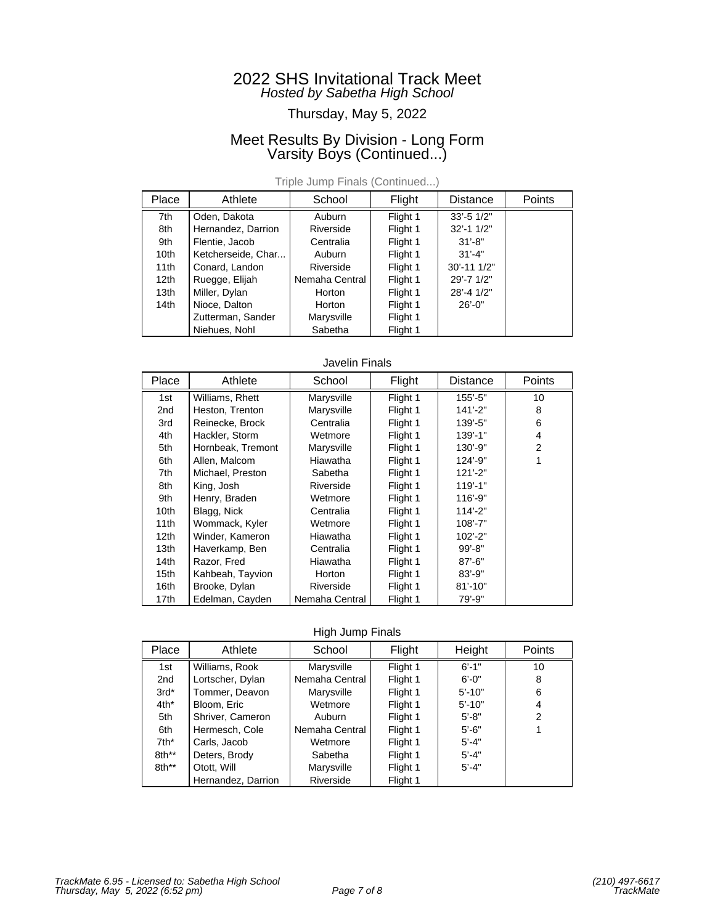## Thursday, May 5, 2022

## Meet Results By Division - Long Form Varsity Boys (Continued...)

| Place | Athlete            | School         | Flight   | <b>Distance</b> | Points |
|-------|--------------------|----------------|----------|-----------------|--------|
| 7th   | Oden, Dakota       | Auburn         | Flight 1 | $33' - 51/2"$   |        |
| 8th   | Hernandez, Darrion | Riverside      | Flight 1 | $32' - 11/2"$   |        |
| 9th   | Flentie, Jacob     | Centralia      | Flight 1 | $31' - 8"$      |        |
| 10th  | Ketcherseide, Char | Auburn         | Flight 1 | $31' - 4"$      |        |
| 11th  | Conard, Landon     | Riverside      | Flight 1 | $30' - 111'2"$  |        |
| 12th  | Ruegge, Elijah     | Nemaha Central | Flight 1 | 29'-7 1/2"      |        |
| 13th  | Miller, Dylan      | Horton         | Flight 1 | 28'-4 1/2"      |        |
| 14th  | Nioce, Dalton      | Horton         | Flight 1 | $26' - 0$ "     |        |
|       | Zutterman, Sander  | Marysville     | Flight 1 |                 |        |
|       | Niehues, Nohl      | Sabetha        | Flight 1 |                 |        |

Triple Jump Finals (Continued...)

#### Javelin Finals

| Place            | Athlete           | School         | Flight   | <b>Distance</b> | Points |
|------------------|-------------------|----------------|----------|-----------------|--------|
| 1st              | Williams, Rhett   | Marysville     | Flight 1 | $155 - 5$ "     | 10     |
| 2 <sub>nd</sub>  | Heston, Trenton   | Marysville     | Flight 1 | $141' - 2"$     | 8      |
| 3rd              | Reinecke, Brock   | Centralia      | Flight 1 | 139'-5"         | 6      |
| 4th              | Hackler, Storm    | Wetmore        | Flight 1 | $139' - 1$ "    | 4      |
| 5th              | Hornbeak, Tremont | Marysville     | Flight 1 | 130'-9"         | 2      |
| 6th              | Allen, Malcom     | Hiawatha       | Flight 1 | $124' - 9''$    |        |
| 7th              | Michael, Preston  | Sabetha        | Flight 1 | $121' - 2"$     |        |
| 8th              | King, Josh        | Riverside      | Flight 1 | $119' - 1"$     |        |
| 9th              | Henry, Braden     | Wetmore        | Flight 1 | 116'-9"         |        |
| 10th             | Blagg, Nick       | Centralia      | Flight 1 | $114' - 2"$     |        |
| 11 <sub>th</sub> | Wommack, Kyler    | Wetmore        | Flight 1 | $108' - 7"$     |        |
| 12th             | Winder, Kameron   | Hiawatha       | Flight 1 | $102' - 2"$     |        |
| 13th             | Haverkamp, Ben    | Centralia      | Flight 1 | $99' - 8"$      |        |
| 14 <sub>th</sub> | Razor, Fred       | Hiawatha       | Flight 1 | $87' - 6"$      |        |
| 15th             | Kahbeah, Tayvion  | Horton         | Flight 1 | $83' - 9"$      |        |
| 16th             | Brooke, Dylan     | Riverside      | Flight 1 | $81' - 10"$     |        |
| 17th             | Edelman, Cayden   | Nemaha Central | Flight 1 | $79' - 9"$      |        |

High Jump Finals

| Place   | Athlete            | School         | Flight   | Height     | <b>Points</b> |
|---------|--------------------|----------------|----------|------------|---------------|
| 1st     | Williams, Rook     | Marysville     | Flight 1 | $6' - 1"$  | 10            |
| 2nd     | Lortscher, Dylan   | Nemaha Central | Flight 1 | $6' - 0''$ | 8             |
| $3rd*$  | Tommer, Deavon     | Marysville     | Flight 1 | $5' - 10"$ | 6             |
| $4th^*$ | Bloom, Eric        | Wetmore        | Flight 1 | $5' - 10"$ | 4             |
| 5th     | Shriver, Cameron   | Auburn         | Flight 1 | $5' - 8"$  | 2             |
| 6th     | Hermesch, Cole     | Nemaha Central | Flight 1 | $5'-6''$   |               |
| $7th^*$ | Carls, Jacob       | Wetmore        | Flight 1 | $5' - 4"$  |               |
| 8th**   | Deters, Brody      | Sabetha        | Flight 1 | $5' - 4"$  |               |
| 8th**   | Otott, Will        | Marysville     | Flight 1 | $5' - 4"$  |               |
|         | Hernandez, Darrion | Riverside      | Flight 1 |            |               |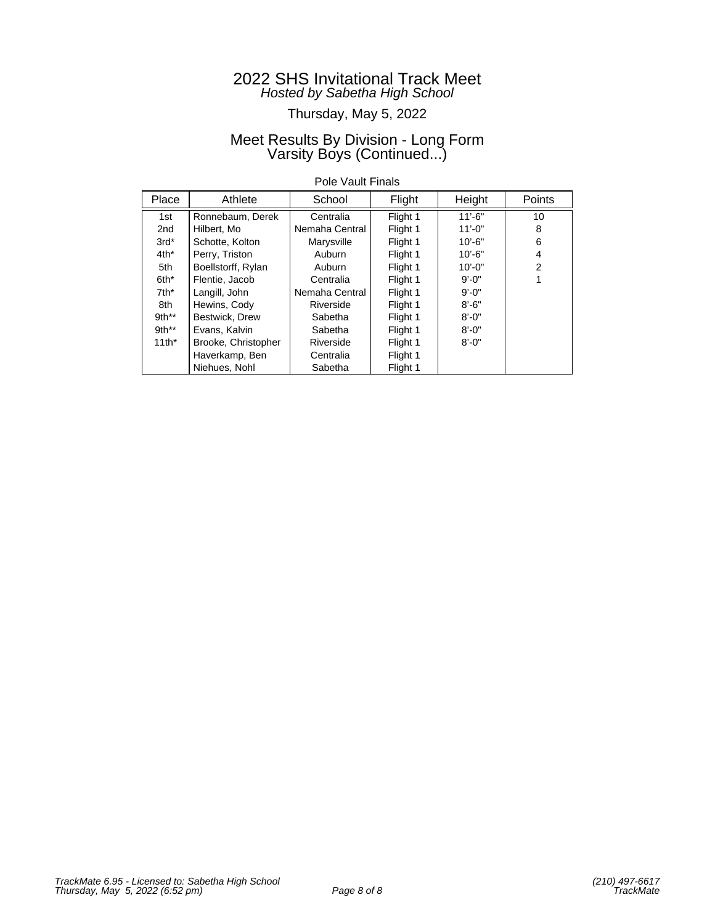## Thursday, May 5, 2022

## Meet Results By Division - Long Form Varsity Boys (Continued...)

### Pole Vault Finals

| Place   | Athlete             | School         | Flight   | Height      | <b>Points</b>  |
|---------|---------------------|----------------|----------|-------------|----------------|
| 1st     | Ronnebaum, Derek    | Centralia      | Flight 1 | $11' - 6"$  | 10             |
| 2nd     | Hilbert, Mo         | Nemaha Central | Flight 1 | $11' - 0''$ | 8              |
| $3rd*$  | Schotte, Kolton     | Marysville     | Flight 1 | $10' - 6"$  | 6              |
| $4th^*$ | Perry, Triston      | Auburn         | Flight 1 | $10' - 6"$  | 4              |
| 5th     | Boellstorff, Rylan  | Auburn         | Flight 1 | $10' - 0''$ | $\overline{2}$ |
| 6th*    | Flentie, Jacob      | Centralia      | Flight 1 | $9' - 0''$  |                |
| $7th^*$ | Langill, John       | Nemaha Central | Flight 1 | $9' - 0''$  |                |
| 8th     | Hewins, Cody        | Riverside      | Flight 1 | $8' - 6"$   |                |
| $9th**$ | Bestwick, Drew      | Sabetha        | Flight 1 | $8' - 0''$  |                |
| $9th**$ | Evans, Kalvin       | Sabetha        | Flight 1 | $8' - 0''$  |                |
| $11th*$ | Brooke, Christopher | Riverside      | Flight 1 | $8' - 0''$  |                |
|         | Haverkamp, Ben      | Centralia      | Flight 1 |             |                |
|         | Niehues, Nohl       | Sabetha        | Flight 1 |             |                |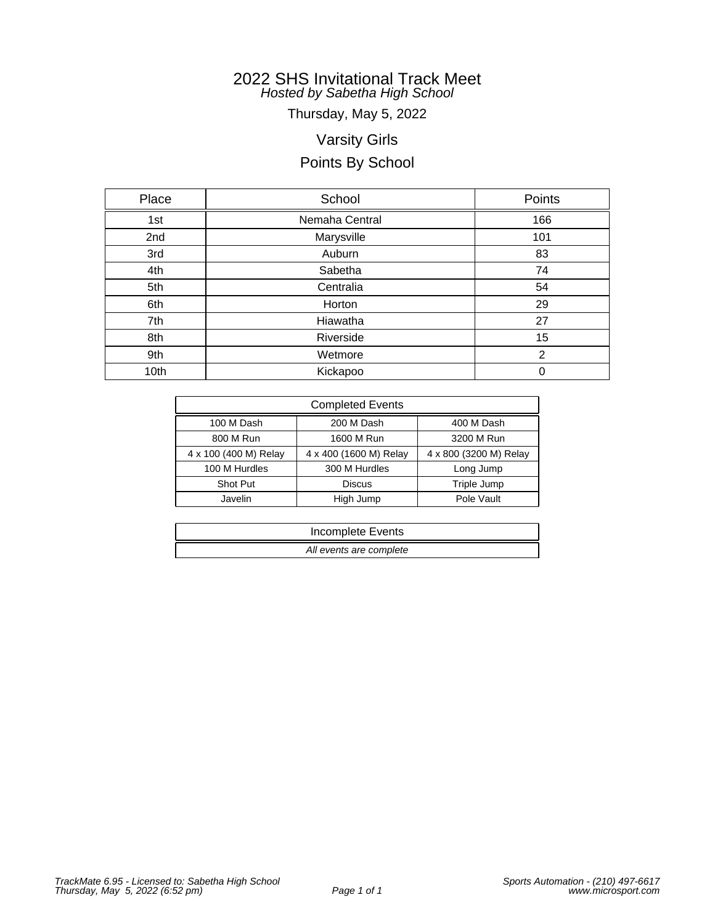Thursday, May 5, 2022

# Varsity Girls

# Points By School

| Place | School         | Points |
|-------|----------------|--------|
| 1st   | Nemaha Central | 166    |
| 2nd   | Marysville     | 101    |
| 3rd   | Auburn         | 83     |
| 4th   | Sabetha        | 74     |
| 5th   | Centralia      | 54     |
| 6th   | Horton         | 29     |
| 7th   | Hiawatha       | 27     |
| 8th   | Riverside      | 15     |
| 9th   | Wetmore        | 2      |
| 10th  | Kickapoo       | 0      |

| <b>Completed Events</b> |                        |                        |  |  |  |  |  |
|-------------------------|------------------------|------------------------|--|--|--|--|--|
| 100 M Dash              | 200 M Dash             | 400 M Dash             |  |  |  |  |  |
| 800 M Run               | 1600 M Run             | 3200 M Run             |  |  |  |  |  |
| 4 x 100 (400 M) Relay   | 4 x 400 (1600 M) Relay | 4 x 800 (3200 M) Relay |  |  |  |  |  |
| 100 M Hurdles           | 300 M Hurdles          | Long Jump              |  |  |  |  |  |
| Shot Put                | <b>Discus</b>          | Triple Jump            |  |  |  |  |  |
| Javelin                 | High Jump              | Pole Vault             |  |  |  |  |  |

| Incomplete Events       |  |
|-------------------------|--|
| All events are complete |  |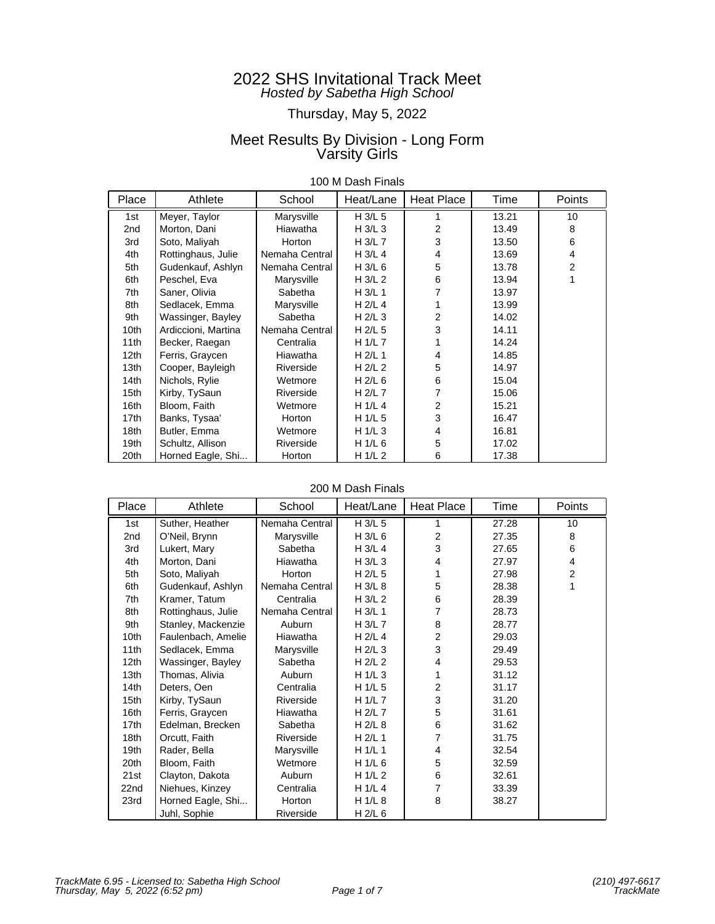# Thursday, May 5, 2022

## Meet Results By Division - Long Form Varsity Girls

|  |  |  | 100 M Dash Finals |  |  |
|--|--|--|-------------------|--|--|
|--|--|--|-------------------|--|--|

| Place | Athlete             | School         | Heat/Lane | Heat Place     | Time  | Points         |
|-------|---------------------|----------------|-----------|----------------|-------|----------------|
| 1st   | Meyer, Taylor       | Marysville     | H 3/L 5   |                | 13.21 | 10             |
| 2nd   | Morton, Dani        | Hiawatha       | H $3/L$ 3 | 2              | 13.49 | 8              |
| 3rd   | Soto, Maliyah       | Horton         | $H$ 3/L 7 | 3              | 13.50 | 6              |
| 4th   | Rottinghaus, Julie  | Nemaha Central | H 3/L 4   | 4              | 13.69 | 4              |
| 5th   | Gudenkauf, Ashlyn   | Nemaha Central | H 3/L 6   | 5              | 13.78 | $\overline{2}$ |
| 6th   | Peschel, Eva        | Marysville     | H $3/L2$  | 6              | 13.94 | 1              |
| 7th   | Saner, Olivia       | Sabetha        | $H$ 3/L 1 |                | 13.97 |                |
| 8th   | Sedlacek, Emma      | Marysville     | H 2/L 4   |                | 13.99 |                |
| 9th   | Wassinger, Bayley   | Sabetha        | H $2/L$ 3 | 2              | 14.02 |                |
| 10th  | Ardiccioni, Martina | Nemaha Central | $H$ 2/L 5 | 3              | 14.11 |                |
| 11th  | Becker, Raegan      | Centralia      | H $1/L$ 7 |                | 14.24 |                |
| 12th  | Ferris, Graycen     | Hiawatha       | H $2/L$ 1 | 4              | 14.85 |                |
| 13th  | Cooper, Bayleigh    | Riverside      | $H$ 2/L 2 | 5              | 14.97 |                |
| 14th  | Nichols, Rylie      | Wetmore        | H $2/L$ 6 | 6              | 15.04 |                |
| 15th  | Kirby, TySaun       | Riverside      | H 2/L 7   | 7              | 15.06 |                |
| 16th  | Bloom, Faith        | Wetmore        | H1/L4     | $\overline{2}$ | 15.21 |                |
| 17th  | Banks, Tysaa'       | Horton         | H 1/L 5   | 3              | 16.47 |                |
| 18th  | Butler, Emma        | Wetmore        | H 1/L 3   | 4              | 16.81 |                |
| 19th  | Schultz, Allison    | Riverside      | H 1/L 6   | 5              | 17.02 |                |
| 20th  | Horned Eagle, Shi   | Horton         | H $1/L$ 2 | 6              | 17.38 |                |

### 200 M Dash Finals

| Place            | Athlete            | School         | Heat/Lane | Heat Place     | Time  | Points         |
|------------------|--------------------|----------------|-----------|----------------|-------|----------------|
| 1st              | Suther, Heather    | Nemaha Central | H 3/L 5   |                | 27.28 | 10             |
| 2nd              | O'Neil, Brynn      | Marysville     | H 3/L 6   | $\overline{2}$ | 27.35 | 8              |
| 3rd              | Lukert, Mary       | Sabetha        | H 3/L 4   | 3              | 27.65 | 6              |
| 4th              | Morton, Dani       | Hiawatha       | H $3/L$ 3 | 4              | 27.97 | 4              |
| 5th              | Soto, Maliyah      | Horton         | H 2/L 5   |                | 27.98 | $\overline{c}$ |
| 6th              | Gudenkauf, Ashlyn  | Nemaha Central | H 3/L 8   | 5              | 28.38 | 1              |
| 7th              | Kramer, Tatum      | Centralia      | H 3/L 2   | 6              | 28.39 |                |
| 8th              | Rottinghaus, Julie | Nemaha Central | H 3/L 1   | 7              | 28.73 |                |
| 9th              | Stanley, Mackenzie | Auburn         | H 3/L 7   | 8              | 28.77 |                |
| 10th             | Faulenbach, Amelie | Hiawatha       | H 2/L 4   | $\overline{2}$ | 29.03 |                |
| 11th             | Sedlacek, Emma     | Marysville     | H $2/L$ 3 | 3              | 29.49 |                |
| 12 <sub>th</sub> | Wassinger, Bayley  | Sabetha        | H $2/L$ 2 | 4              | 29.53 |                |
| 13th             | Thomas, Alivia     | Auburn         | H $1/L$ 3 |                | 31.12 |                |
| 14th             | Deters, Oen        | Centralia      | H 1/L 5   | $\overline{c}$ | 31.17 |                |
| 15th             | Kirby, TySaun      | Riverside      | H 1/L 7   | 3              | 31.20 |                |
| 16th             | Ferris, Graycen    | Hiawatha       | H 2/L 7   | 5              | 31.61 |                |
| 17th             | Edelman, Brecken   | Sabetha        | $H$ 2/L 8 | 6              | 31.62 |                |
| 18th             | Orcutt, Faith      | Riverside      | $H$ 2/L 1 | $\overline{7}$ | 31.75 |                |
| 19th             | Rader, Bella       | Marysville     | H 1/L 1   | 4              | 32.54 |                |
| 20th             | Bloom, Faith       | Wetmore        | H 1/L 6   | 5              | 32.59 |                |
| 21st             | Clayton, Dakota    | Auburn         | H 1/L 2   | 6              | 32.61 |                |
| 22nd             | Niehues, Kinzey    | Centralia      | H 1/L 4   | 7              | 33.39 |                |
| 23rd             | Horned Eagle, Shi  | Horton         | H 1/L 8   | 8              | 38.27 |                |
|                  | Juhl, Sophie       | Riverside      | $H$ 2/L 6 |                |       |                |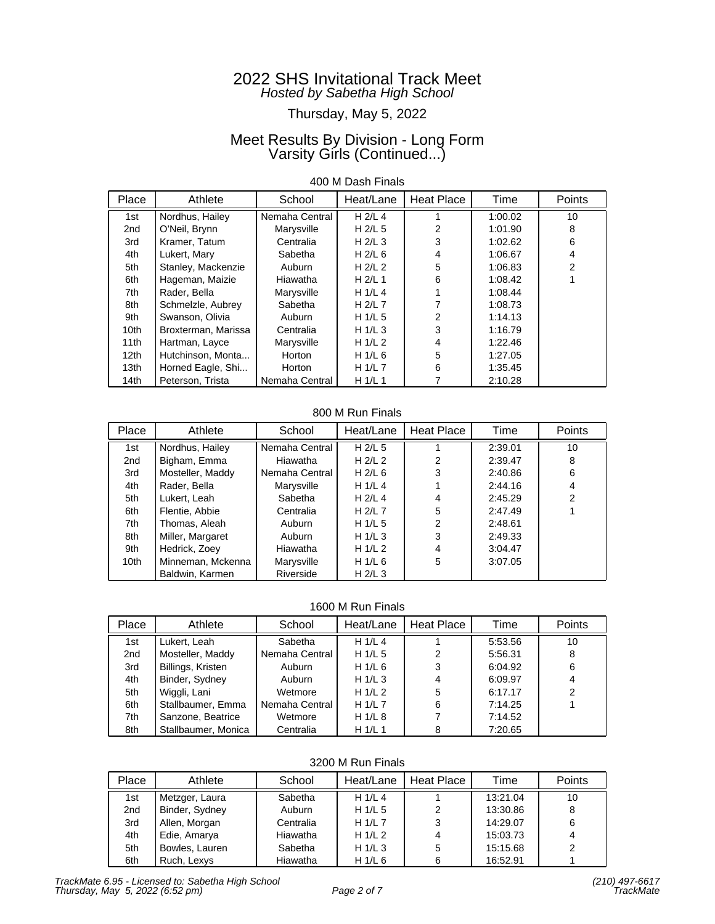# Thursday, May 5, 2022

## Meet Results By Division - Long Form Varsity Girls (Continued...)

### 400 M Dash Finals

| Place            | Athlete             | School         | Heat/Lane | Heat Place | Time    | <b>Points</b> |
|------------------|---------------------|----------------|-----------|------------|---------|---------------|
| 1st              | Nordhus, Hailey     | Nemaha Central | $H$ 2/L 4 |            | 1:00.02 | 10            |
| 2nd              | O'Neil, Brynn       | Marysville     | H $2/L$ 5 | 2          | 1:01.90 | 8             |
| 3rd              | Kramer, Tatum       | Centralia      | H $2/L$ 3 | 3          | 1:02.62 | 6             |
| 4th              | Lukert, Mary        | Sabetha        | H $2/L$ 6 | 4          | 1:06.67 | 4             |
| 5th              | Stanley, Mackenzie  | Auburn         | H $2/L$ 2 | 5          | 1:06.83 | 2             |
| 6th              | Hageman, Maizie     | Hiawatha       | $H$ 2/L 1 | 6          | 1:08.42 |               |
| 7th              | Rader, Bella        | Marysville     | H $1/L4$  |            | 1:08.44 |               |
| 8th              | Schmelzle, Aubrey   | Sabetha        | H $2/L$ 7 |            | 1:08.73 |               |
| 9th              | Swanson, Olivia     | Auburn         | H $1/L$ 5 | 2          | 1:14.13 |               |
| 10 <sub>th</sub> | Broxterman, Marissa | Centralia      | H $1/L$ 3 | 3          | 1:16.79 |               |
| 11th             | Hartman, Layce      | Marysville     | H $1/L2$  | 4          | 1:22.46 |               |
| 12th             | Hutchinson, Monta   | Horton         | H $1/L$ 6 | 5          | 1:27.05 |               |
| 13 <sub>th</sub> | Horned Eagle, Shi   | <b>Horton</b>  | H $1/L$ 7 | 6          | 1:35.45 |               |
| 14th             | Peterson, Trista    | Nemaha Central | H $1/L$ 1 |            | 2:10.28 |               |

### 800 M Run Finals

| Place            | Athlete           | School         | Heat/Lane | <b>Heat Place</b> | Time    | Points |
|------------------|-------------------|----------------|-----------|-------------------|---------|--------|
| 1st              | Nordhus, Hailey   | Nemaha Central | H $2/L$ 5 |                   | 2:39.01 | 10     |
| 2 <sub>nd</sub>  | Bigham, Emma      | Hiawatha       | H $2/L$ 2 | 2                 | 2:39.47 | 8      |
| 3rd              | Mosteller, Maddy  | Nemaha Central | H $2/L$ 6 | 3                 | 2:40.86 | 6      |
| 4th              | Rader, Bella      | Marysville     | H $1/L$ 4 |                   | 2:44.16 | 4      |
| 5th              | Lukert, Leah      | Sabetha        | H $2/L$ 4 | 4                 | 2:45.29 | 2      |
| 6th              | Flentie, Abbie    | Centralia      | H $2/L$ 7 | 5                 | 2:47.49 |        |
| 7th              | Thomas, Aleah     | Auburn         | H $1/L$ 5 | 2                 | 2:48.61 |        |
| 8th              | Miller, Margaret  | Auburn         | H $1/L$ 3 | 3                 | 2:49.33 |        |
| 9th              | Hedrick, Zoey     | Hiawatha       | H $1/L2$  | 4                 | 3:04.47 |        |
| 10 <sub>th</sub> | Minneman, Mckenna | Marysville     | H $1/L$ 6 | 5                 | 3:07.05 |        |
|                  | Baldwin, Karmen   | Riverside      | H $2/L$ 3 |                   |         |        |

#### 1600 M Run Finals

| Place | Athlete             | School         | Heat/Lane | Heat Place | Time    | Points |
|-------|---------------------|----------------|-----------|------------|---------|--------|
| 1st   | Lukert, Leah        | Sabetha        | H1/L4     |            | 5:53.56 | 10     |
| 2nd   | Mosteller, Maddy    | Nemaha Central | H $1/L$ 5 | 2          | 5:56.31 | 8      |
| 3rd   | Billings, Kristen   | Auburn         | H $1/L$ 6 | 3          | 6:04.92 | 6      |
| 4th   | Binder, Sydney      | Auburn         | H $1/L$ 3 |            | 6:09.97 | 4      |
| 5th   | Wiggli, Lani        | Wetmore        | H $1/L2$  | 5          | 6:17.17 | 2      |
| 6th   | Stallbaumer, Emma   | Nemaha Central | H $1/L$ 7 | 6          | 7:14.25 |        |
| 7th   | Sanzone, Beatrice   | Wetmore        | H $1/L$ 8 |            | 7:14.52 |        |
| 8th   | Stallbaumer, Monica | Centralia      | H $1/L$ 1 |            | 7:20.65 |        |

### 3200 M Run Finals

| Place | Athlete        | School    | Heat/Lane | Heat Place | Time     | <b>Points</b> |
|-------|----------------|-----------|-----------|------------|----------|---------------|
| 1st   | Metzger, Laura | Sabetha   | H $1/L$ 4 |            | 13:21.04 | 10            |
| 2nd   | Binder, Sydney | Auburn    | H $1/L$ 5 | 2          | 13:30.86 | 8             |
| 3rd   | Allen, Morgan  | Centralia | H $1/L$ 7 | 3          | 14:29.07 | 6             |
| 4th   | Edie, Amarya   | Hiawatha  | H $1/L2$  |            | 15:03.73 |               |
| 5th   | Bowles, Lauren | Sabetha   | H $1/L$ 3 | 5          | 15:15.68 | 2             |
| 6th   | Ruch, Lexys    | Hiawatha  | H $1/L$ 6 |            | 16:52.91 |               |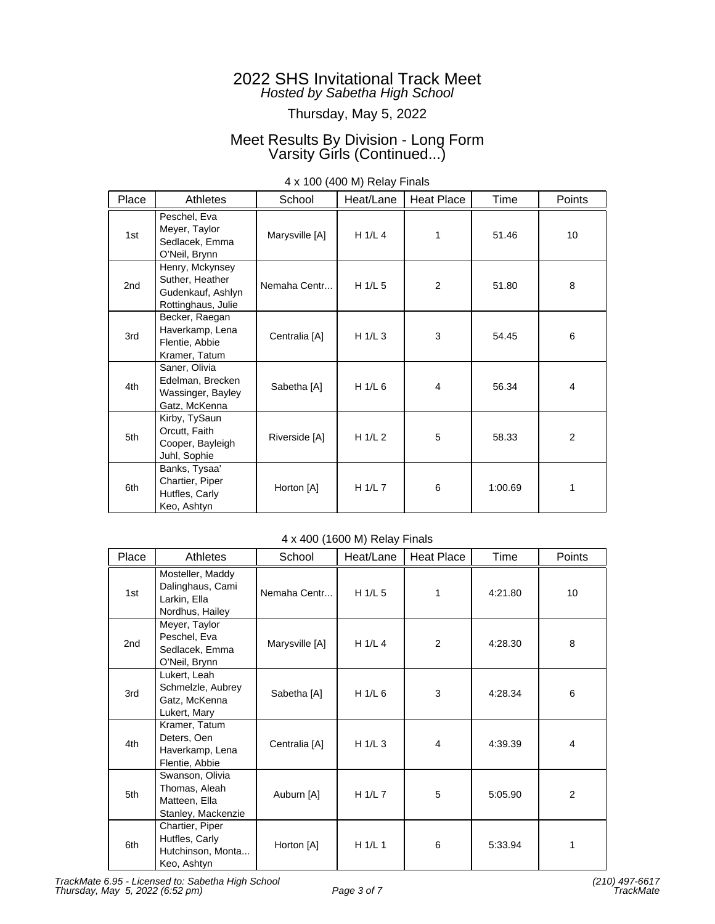## Thursday, May 5, 2022

## Meet Results By Division - Long Form Varsity Girls (Continued...)

| Place           | Athletes                                                                      | School         | Heat/Lane   | <b>Heat Place</b> | Time    | Points          |
|-----------------|-------------------------------------------------------------------------------|----------------|-------------|-------------------|---------|-----------------|
| 1st             | Peschel, Eva<br>Meyer, Taylor<br>Sedlacek, Emma<br>O'Neil, Brynn              | Marysville [A] | H 1/L 4     | 1                 | 51.46   | 10 <sup>°</sup> |
| 2 <sub>nd</sub> | Henry, Mckynsey<br>Suther, Heather<br>Gudenkauf, Ashlyn<br>Rottinghaus, Julie | Nemaha Centr   | H 1/L 5     | $\overline{2}$    | 51.80   | 8               |
| 3rd             | Becker, Raegan<br>Haverkamp, Lena<br>Flentie, Abbie<br>Kramer, Tatum          | Centralia [A]  | H 1/L 3     | 3                 | 54.45   | 6               |
| 4th             | Saner, Olivia<br>Edelman, Brecken<br>Wassinger, Bayley<br>Gatz, McKenna       | Sabetha [A]    | H 1/L 6     | $\overline{4}$    | 56.34   | 4               |
| 5th             | Kirby, TySaun<br>Orcutt, Faith<br>Cooper, Bayleigh<br>Juhl, Sophie            | Riverside [A]  | H $1/L2$    | 5                 | 58.33   | 2               |
| 6th             | Banks, Tysaa'<br>Chartier, Piper<br>Hutfles, Carly<br>Keo, Ashtyn             | Horton [A]     | H $1/L$ $7$ | 6                 | 1:00.69 | 1               |

### 4 x 100 (400 M) Relay Finals

### 4 x 400 (1600 M) Relay Finals

| Place           | Athletes                                                                | School         | Heat/Lane | Heat Place | Time    | Points |
|-----------------|-------------------------------------------------------------------------|----------------|-----------|------------|---------|--------|
| 1st             | Mosteller, Maddy<br>Dalinghaus, Cami<br>Larkin, Ella<br>Nordhus, Hailey | Nemaha Centr   | H1/L5     | 1          | 4:21.80 | 10     |
| 2 <sub>nd</sub> | Meyer, Taylor<br>Peschel, Eva<br>Sedlacek, Emma<br>O'Neil, Brynn        | Marysville [A] | H $1/L$ 4 | 2          | 4:28.30 | 8      |
| 3rd             | Lukert, Leah<br>Schmelzle, Aubrey<br>Gatz, McKenna<br>Lukert, Mary      | Sabetha [A]    | H $1/L$ 6 | 3          | 4:28.34 | 6      |
| 4th             | Kramer, Tatum<br>Deters, Oen<br>Haverkamp, Lena<br>Flentie, Abbie       | Centralia [A]  | H $1/L$ 3 | 4          | 4:39.39 | 4      |
| 5th             | Swanson, Olivia<br>Thomas, Aleah<br>Matteen, Ella<br>Stanley, Mackenzie | Auburn [A]     | H 1/L 7   | 5          | 5:05.90 | 2      |
| 6th             | Chartier, Piper<br>Hutfles, Carly<br>Hutchinson, Monta<br>Keo, Ashtyn   | Horton [A]     | H 1/L 1   | 6          | 5:33.94 | 1      |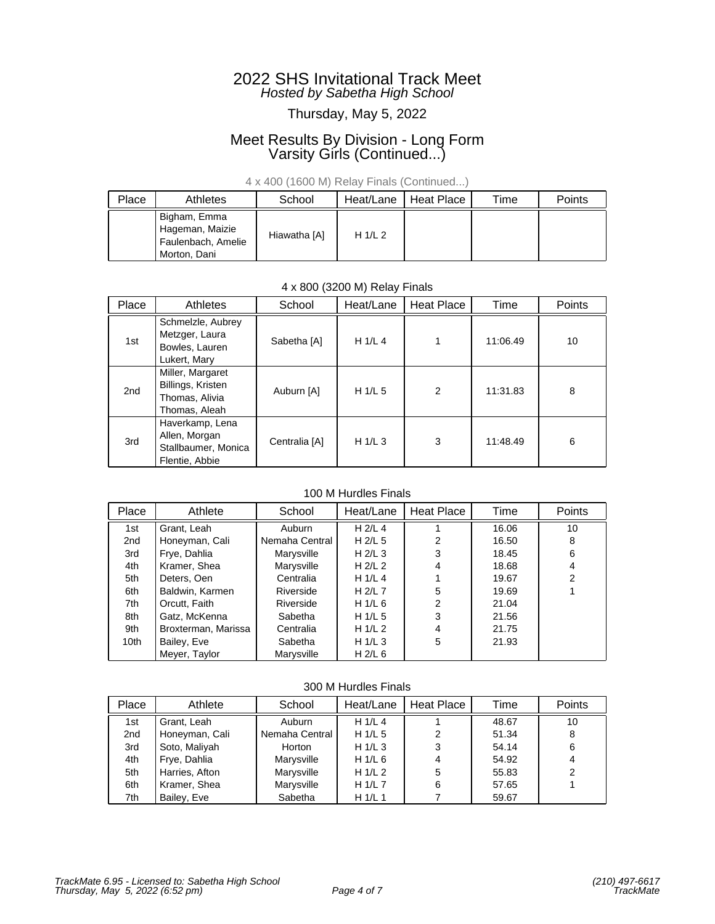## Thursday, May 5, 2022

## Meet Results By Division - Long Form Varsity Girls (Continued...)

### 4 x 400 (1600 M) Relay Finals (Continued...)

| Place | Athletes                                                              | School       | Heat/Lane | Heat Place | Time | <b>Points</b> |
|-------|-----------------------------------------------------------------------|--------------|-----------|------------|------|---------------|
|       | Bigham, Emma<br>Hageman, Maizie<br>Faulenbach, Amelie<br>Morton, Dani | Hiawatha [A] | H $1/L2$  |            |      |               |

### 4 x 800 (3200 M) Relay Finals

| Place           | Athletes                                                                  | School        | Heat/Lane | Heat Place    | Time     | Points |
|-----------------|---------------------------------------------------------------------------|---------------|-----------|---------------|----------|--------|
| 1st             | Schmelzle, Aubrey<br>Metzger, Laura<br>Bowles, Lauren<br>Lukert, Mary     | Sabetha [A]   | H 1/L 4   |               | 11:06.49 | 10     |
| 2 <sub>nd</sub> | Miller, Margaret<br>Billings, Kristen<br>Thomas, Alivia<br>Thomas, Aleah  | Auburn [A]    | H $1/L$ 5 | $\mathcal{P}$ | 11:31.83 | 8      |
| 3rd             | Haverkamp, Lena<br>Allen, Morgan<br>Stallbaumer, Monica<br>Flentie, Abbie | Centralia [A] | H $1/L$ 3 | 3             | 11:48.49 | 6      |

### 100 M Hurdles Finals

| Place | Athlete             | School         | Heat/Lane | <b>Heat Place</b> | Time  | Points         |
|-------|---------------------|----------------|-----------|-------------------|-------|----------------|
| 1st   | Grant, Leah         | Auburn         | $H$ 2/L 4 |                   | 16.06 | 10             |
| 2nd   | Honeyman, Cali      | Nemaha Central | $H$ 2/L 5 | 2                 | 16.50 | 8              |
| 3rd   | Frye, Dahlia        | Marysville     | H $2/L$ 3 | 3                 | 18.45 | 6              |
| 4th   | Kramer, Shea        | Marysville     | H $2/L$ 2 | 4                 | 18.68 | $\overline{4}$ |
| 5th   | Deters, Oen         | Centralia      | H $1/L$ 4 |                   | 19.67 | 2              |
| 6th   | Baldwin, Karmen     | Riverside      | H $2/L$ 7 | 5                 | 19.69 |                |
| 7th   | Orcutt, Faith       | Riverside      | H $1/L$ 6 | 2                 | 21.04 |                |
| 8th   | Gatz, McKenna       | Sabetha        | H $1/L$ 5 | 3                 | 21.56 |                |
| 9th   | Broxterman, Marissa | Centralia      | H $1/L2$  | 4                 | 21.75 |                |
| 10th  | Bailey, Eve         | Sabetha        | H $1/L$ 3 | 5                 | 21.93 |                |
|       | Meyer, Taylor       | Marysville     | H $2/L$ 6 |                   |       |                |

#### 300 M Hurdles Finals

| Place | Athlete        | School         | Heat/Lane | <b>Heat Place</b> | Time  | Points |
|-------|----------------|----------------|-----------|-------------------|-------|--------|
| 1st   | Grant, Leah    | Auburn         | H $1/L$ 4 |                   | 48.67 | 10     |
| 2nd   | Honeyman, Cali | Nemaha Central | H $1/L$ 5 | 2                 | 51.34 | 8      |
| 3rd   | Soto, Maliyah  | Horton         | H $1/L$ 3 | 3                 | 54.14 | 6      |
| 4th   | Frye, Dahlia   | Marysville     | H $1/L$ 6 |                   | 54.92 | 4      |
| 5th   | Harries, Afton | Marysville     | H $1/L2$  | 5                 | 55.83 | 2      |
| 6th   | Kramer, Shea   | Marysville     | H $1/L$ 7 | 6                 | 57.65 |        |
| 7th   | Bailey, Eve    | Sabetha        | H $1/L$ 1 |                   | 59.67 |        |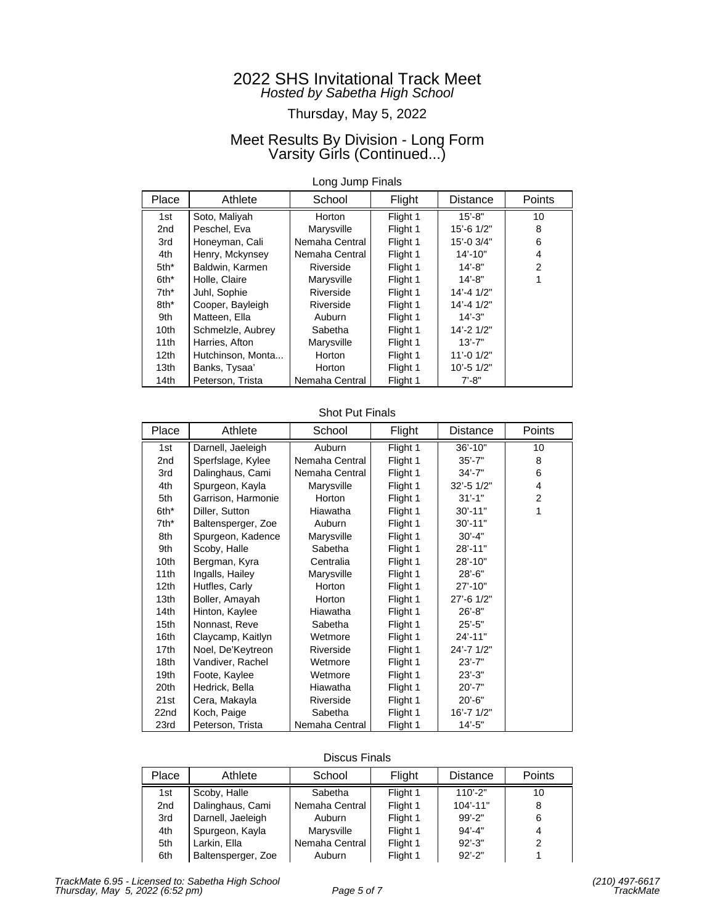## Thursday, May 5, 2022

## Meet Results By Division - Long Form Varsity Girls (Continued...)

### Long Jump Finals

| Place            | Athlete           | School         | Flight   | <b>Distance</b>  | <b>Points</b>  |
|------------------|-------------------|----------------|----------|------------------|----------------|
| 1st              | Soto, Maliyah     | Horton         | Flight 1 | $15' - 8"$       | 10             |
| 2 <sub>nd</sub>  | Peschel, Eva      | Marysville     | Flight 1 | 15'-6 1/2"       | 8              |
| 3rd              | Honeyman, Cali    | Nemaha Central | Flight 1 | 15'-0 3/4"       | 6              |
| 4th              | Henry, Mckynsey   | Nemaha Central | Flight 1 | $14' - 10"$      | 4              |
| $5th*$           | Baldwin, Karmen   | Riverside      | Flight 1 | $14' - 8"$       | $\mathfrak{p}$ |
| 6th*             | Holle, Claire     | Marysville     | Flight 1 | $14' - 8"$       |                |
| $7th^*$          | Juhl, Sophie      | Riverside      | Flight 1 | $14' - 41/2"$    |                |
| 8th*             | Cooper, Bayleigh  | Riverside      | Flight 1 | $14' - 41/2"$    |                |
| 9th              | Matteen, Ella     | Auburn         | Flight 1 | $14' - 3"$       |                |
| 10th             | Schmelzle, Aubrey | Sabetha        | Flight 1 | 14'-2 1/2"       |                |
| 11th             | Harries, Afton    | Marysville     | Flight 1 | $13' - 7"$       |                |
| 12 <sub>th</sub> | Hutchinson, Monta | Horton         | Flight 1 | $11' - 0$ $1/2"$ |                |
| 13 <sub>th</sub> | Banks, Tysaa'     | Horton         | Flight 1 | $10' - 51/2"$    |                |
| 14th             | Peterson, Trista  | Nemaha Central | Flight 1 | $7' - 8"$        |                |

### Shot Put Finals

| Place | Athlete            | School         | Flight   | Distance    | Points |
|-------|--------------------|----------------|----------|-------------|--------|
| 1st   | Darnell, Jaeleigh  | Auburn         | Flight 1 | $36' - 10"$ | 10     |
| 2nd   | Sperfslage, Kylee  | Nemaha Central | Flight 1 | $35' - 7"$  | 8      |
| 3rd   | Dalinghaus, Cami   | Nemaha Central | Flight 1 | $34' - 7"$  | 6      |
| 4th   | Spurgeon, Kayla    | Marysville     | Flight 1 | 32'-5 1/2"  | 4      |
| 5th   | Garrison, Harmonie | Horton         | Flight 1 | $31' - 1"$  | 2      |
| 6th*  | Diller, Sutton     | Hiawatha       | Flight 1 | $30' - 11"$ | 1      |
| 7th*  | Baltensperger, Zoe | Auburn         | Flight 1 | $30' - 11"$ |        |
| 8th   | Spurgeon, Kadence  | Marysville     | Flight 1 | $30' - 4"$  |        |
| 9th   | Scoby, Halle       | Sabetha        | Flight 1 | 28'-11"     |        |
| 10th  | Bergman, Kyra      | Centralia      | Flight 1 | 28'-10"     |        |
| 11th  | Ingalls, Hailey    | Marysville     | Flight 1 | $28' - 6"$  |        |
| 12th  | Hutfles, Carly     | Horton         | Flight 1 | $27' - 10"$ |        |
| 13th  | Boller, Amayah     | Horton         | Flight 1 | 27'-6 1/2"  |        |
| 14th  | Hinton, Kaylee     | Hiawatha       | Flight 1 | $26' - 8"$  |        |
| 15th  | Nonnast, Reve      | Sabetha        | Flight 1 | $25' - 5"$  |        |
| 16th  | Claycamp, Kaitlyn  | Wetmore        | Flight 1 | $24' - 11"$ |        |
| 17th  | Noel, De'Keytreon  | Riverside      | Flight 1 | 24'-7 1/2"  |        |
| 18th  | Vandiver, Rachel   | Wetmore        | Flight 1 | $23' - 7"$  |        |
| 19th  | Foote, Kaylee      | Wetmore        | Flight 1 | $23' - 3"$  |        |
| 20th  | Hedrick, Bella     | Hiawatha       | Flight 1 | $20' - 7"$  |        |
| 21st  | Cera, Makayla      | Riverside      | Flight 1 | $20' - 6"$  |        |
| 22nd  | Koch, Paige        | Sabetha        | Flight 1 | 16'-7 1/2"  |        |
| 23rd  | Peterson, Trista   | Nemaha Central | Flight 1 | $14' - 5"$  |        |

### Discus Finals

| Place | Athlete            | School         | Flight   | <b>Distance</b> | Points |
|-------|--------------------|----------------|----------|-----------------|--------|
| 1st   | Scoby, Halle       | Sabetha        | Flight 1 | $110' - 2"$     | 10     |
| 2nd   | Dalinghaus, Cami   | Nemaha Central | Flight 1 | $104' - 11"$    | 8      |
| 3rd   | Darnell, Jaeleigh  | Auburn         | Flight 1 | $99' - 2"$      | 6      |
| 4th   | Spurgeon, Kayla    | Marysville     | Flight 1 | $94' - 4"$      |        |
| 5th   | Larkin, Ella       | Nemaha Central | Flight 1 | $92' - 3"$      | 2      |
| 6th   | Baltensperger, Zoe | Auburn         | Flight 1 | $92' - 2"$      |        |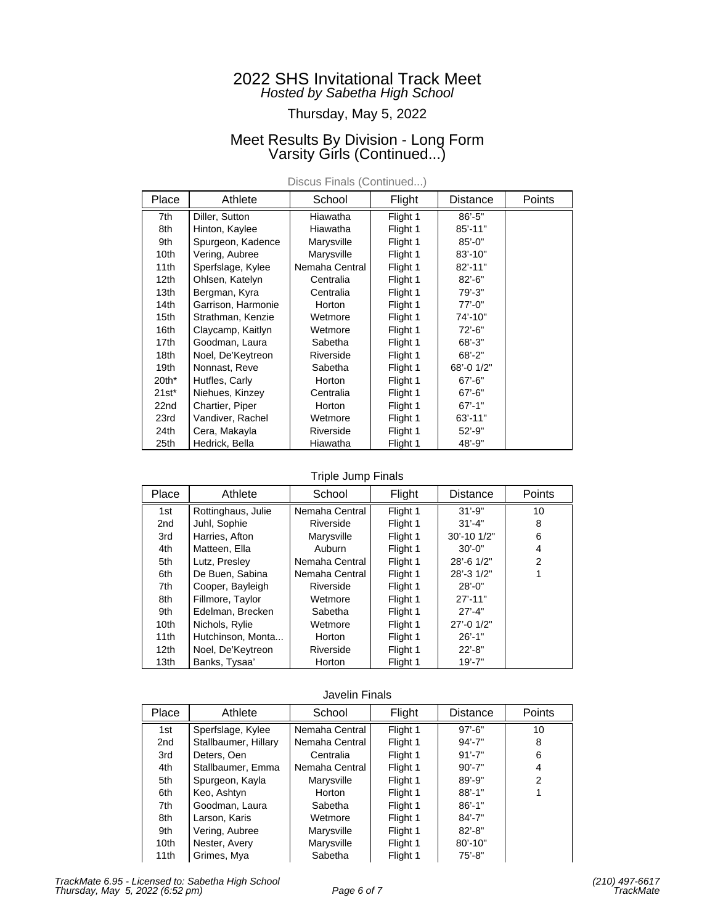## Thursday, May 5, 2022

## Meet Results By Division - Long Form Varsity Girls (Continued...)

| Place            | Athlete            | School         | Flight   | Distance    | Points |
|------------------|--------------------|----------------|----------|-------------|--------|
| 7th              | Diller, Sutton     | Hiawatha       | Flight 1 | $86' - 5"$  |        |
| 8th              | Hinton, Kaylee     | Hiawatha       | Flight 1 | $85' - 11"$ |        |
| 9th              | Spurgeon, Kadence  | Marysville     | Flight 1 | $85' - 0''$ |        |
| 10th             | Vering, Aubree     | Marysville     | Flight 1 | $83' - 10"$ |        |
| 11th             | Sperfslage, Kylee  | Nemaha Central | Flight 1 | $82' - 11"$ |        |
| 12 <sub>th</sub> | Ohlsen, Katelyn    | Centralia      | Flight 1 | $82' - 6"$  |        |
| 13 <sub>th</sub> | Bergman, Kyra      | Centralia      | Flight 1 | $79' - 3"$  |        |
| 14th             | Garrison, Harmonie | Horton         | Flight 1 | $77' - 0''$ |        |
| 15th             | Strathman, Kenzie  | Wetmore        | Flight 1 | 74'-10"     |        |
| 16th             | Claycamp, Kaitlyn  | Wetmore        | Flight 1 | $72' - 6"$  |        |
| 17th             | Goodman, Laura     | Sabetha        | Flight 1 | $68' - 3"$  |        |
| 18 <sub>th</sub> | Noel, De'Keytreon  | Riverside      | Flight 1 | $68' - 2"$  |        |
| 19 <sub>th</sub> | Nonnast, Reve      | Sabetha        | Flight 1 | 68'-0 1/2"  |        |
| $20th*$          | Hutfles, Carly     | Horton         | Flight 1 | $67' - 6"$  |        |
| $21st^*$         | Niehues, Kinzey    | Centralia      | Flight 1 | $67' - 6"$  |        |
| 22nd             | Chartier, Piper    | Horton         | Flight 1 | $67' - 1"$  |        |
| 23rd             | Vandiver, Rachel   | Wetmore        | Flight 1 | $63' - 11"$ |        |
| 24th             | Cera, Makayla      | Riverside      | Flight 1 | $52' - 9"$  |        |
| 25th             | Hedrick, Bella     | Hiawatha       | Flight 1 | 48'-9"      |        |

Discus Finals (Continued...)

### Triple Jump Finals

| Place           | Athlete            | School         | Flight   | <b>Distance</b> | Points         |
|-----------------|--------------------|----------------|----------|-----------------|----------------|
| 1st             | Rottinghaus, Julie | Nemaha Central | Flight 1 | $31' - 9"$      | 10             |
| 2 <sub>nd</sub> | Juhl, Sophie       | Riverside      | Flight 1 | $31' - 4"$      | 8              |
| 3rd             | Harries, Afton     | Marysville     | Flight 1 | 30'-10 1/2"     | 6              |
| 4th             | Matteen, Ella      | Auburn         | Flight 1 | $30' - 0''$     | 4              |
| 5th             | Lutz, Presley      | Nemaha Central | Flight 1 | 28'-6 1/2"      | $\overline{2}$ |
| 6th             | De Buen, Sabina    | Nemaha Central | Flight 1 | 28'-3 1/2"      |                |
| 7th             | Cooper, Bayleigh   | Riverside      | Flight 1 | $28' - 0$ "     |                |
| 8th             | Fillmore, Taylor   | Wetmore        | Flight 1 | $27' - 11"$     |                |
| 9th             | Edelman, Brecken   | Sabetha        | Flight 1 | $27' - 4"$      |                |
| 10th            | Nichols, Rylie     | Wetmore        | Flight 1 | 27'-0 1/2"      |                |
| 11th            | Hutchinson, Monta  | Horton         | Flight 1 | $26' - 1"$      |                |
| 12th            | Noel, De'Keytreon  | Riverside      | Flight 1 | $22' - 8"$      |                |
| 13th            | Banks, Tysaa'      | Horton         | Flight 1 | $19' - 7"$      |                |

#### Javelin Finals

| Place | Athlete              | School         | Flight   | <b>Distance</b> | <b>Points</b> |
|-------|----------------------|----------------|----------|-----------------|---------------|
| 1st   | Sperfslage, Kylee    | Nemaha Central | Flight 1 | $97' - 6"$      | 10            |
| 2nd   | Stallbaumer, Hillary | Nemaha Central | Flight 1 | $94' - 7"$      | 8             |
| 3rd   | Deters, Oen          | Centralia      | Flight 1 | $91' - 7"$      | 6             |
| 4th   | Stallbaumer, Emma    | Nemaha Central | Flight 1 | $90' - 7"$      | 4             |
| 5th   | Spurgeon, Kayla      | Marysville     | Flight 1 | $89' - 9"$      | 2             |
| 6th   | Keo, Ashtyn          | Horton         | Flight 1 | $88' - 1"$      |               |
| 7th   | Goodman, Laura       | Sabetha        | Flight 1 | $86' - 1"$      |               |
| 8th   | Larson, Karis        | Wetmore        | Flight 1 | $84' - 7"$      |               |
| 9th   | Vering, Aubree       | Marysville     | Flight 1 | $82' - 8"$      |               |
| 10th  | Nester, Avery        | Marysville     | Flight 1 | $80' - 10"$     |               |
| 11th  | Grimes, Mya          | Sabetha        | Flight 1 | $75' - 8"$      |               |